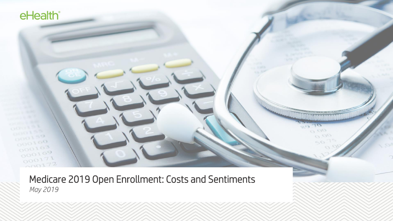Medicare 2019 Open Enrollment: Costs and Sentiments *May 2019*

 $0.00$ 

 $r_{\rm m}$ 

 $O$   $_{O}$ 

eHealth<sup>®</sup>

 $\sim$  98

 $000100$ 

 $000163$  $000169$  $000171$  $000172$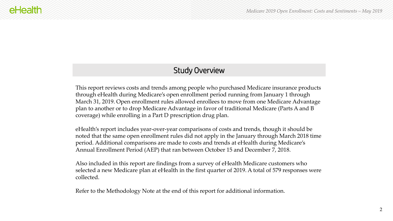### Study Overview

This report reviews costs and trends among people who purchased Medicare insurance products through eHealth during Medicare's open enrollment period running from January 1 through March 31, 2019. Open enrollment rules allowed enrollees to move from one Medicare Advantage plan to another or to drop Medicare Advantage in favor of traditional Medicare (Parts A and B coverage) while enrolling in a Part D prescription drug plan.

eHealth's report includes year-over-year comparisons of costs and trends, though it should be noted that the same open enrollment rules did not apply in the January through March 2018 time period. Additional comparisons are made to costs and trends at eHealth during Medicare's Annual Enrollment Period (AEP) that ran between October 15 and December 7, 2018.

Also included in this report are findings from a survey of eHealth Medicare customers who selected a new Medicare plan at eHealth in the first quarter of 2019. A total of 579 responses were collected.

Refer to the Methodology Note at the end of this report for additional information.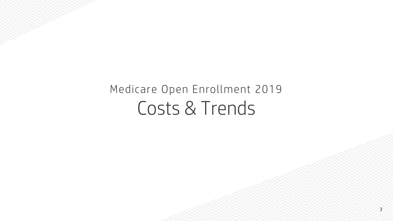# Medicare Open Enrollment 2019 Costs & Trends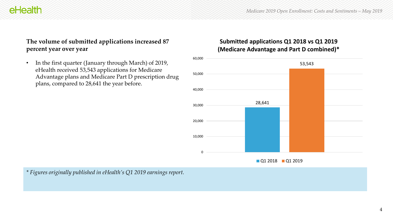#### **The volume of submitted applications increased 87 percent year over year**

• In the first quarter (January through March) of 2019, eHealth received 53,543 applications for Medicare Advantage plans and Medicare Part D prescription drug plans, compared to 28,641 the year before.

#### **Submitted applications Q1 2018 vs Q1 2019 (Medicare Advantage and Part D combined)\***



*\* Figures originally published in eHealth's Q1 2019 earnings report.*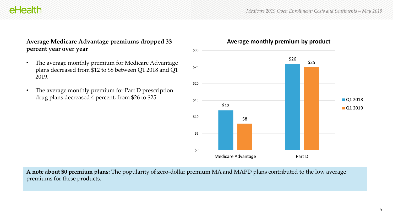#### **Average Medicare Advantage premiums dropped 33 percent year over year**

- The average monthly premium for Medicare Advantage plans decreased from \$12 to \$8 between Q1 2018 and Q1 2019.
- The average monthly premium for Part D prescription drug plans decreased 4 percent, from \$26 to \$25.



**Average monthly premium by product**

**A note about \$0 premium plans:** The popularity of zero-dollar premium MA and MAPD plans contributed to the low average premiums for these products.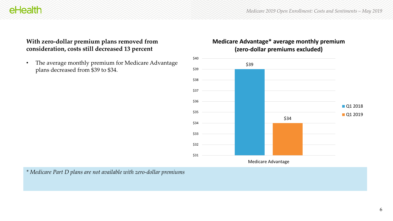#### **With zero-dollar premium plans removed from consideration, costs still decreased 13 percent**

eHealth

• The average monthly premium for Medicare Advantage plans decreased from \$39 to \$34.



## **Medicare Advantage\* average monthly premium**

*\* Medicare Part D plans are not available with zero-dollar premiums*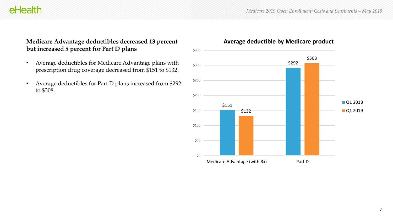#### **Medicare Advantage deductibles decreased 13 percent but increased 5 percent for Part D plans**

- Average deductibles for Medicare Advantage plans with prescription drug coverage decreased from \$151 to \$132.
- Average deductibles for Part D plans increased from \$292 to \$308.



#### **Average deductible by Medicare product**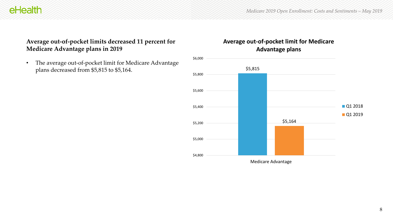#### **Average out-of-pocket limits decreased 11 percent for Medicare Advantage plans in 2019**

• The average out-of-pocket limit for Medicare Advantage plans decreased from \$5,815 to \$5,164.

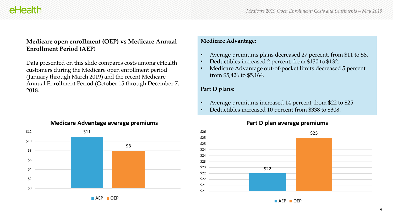#### **Medicare open enrollment (OEP) vs Medicare Annual Enrollment Period (AEP)**

Data presented on this slide compares costs among eHealth customers during the Medicare open enrollment period (January through March 2019) and the recent Medicare Annual Enrollment Period (October 15 through December 7, 2018.

#### **Medicare Advantage:**

- Average premiums plans decreased 27 percent, from \$11 to \$8.
- Deductibles increased 2 percent, from \$130 to \$132.
- Medicare Advantage out-of-pocket limits decreased 5 percent from \$5,426 to \$5,164.

#### **Part D plans:**

- Average premiums increased 14 percent, from \$22 to \$25.
- Deductibles increased 10 percent from \$338 to \$308.



#### **Part D plan average premiums**



**AEP OEP**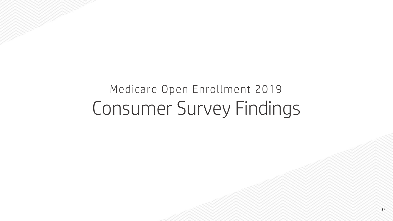# Medicare Open Enrollment 2019 Consumer Survey Findings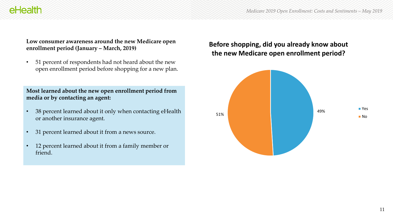#### **Low consumer awareness around the new Medicare open enrollment period (January – March, 2019)**

• 51 percent of respondents had not heard about the new open enrollment period before shopping for a new plan.

#### **Most learned about the new open enrollment period from media or by contacting an agent:**

- 38 percent learned about it only when contacting eHealth or another insurance agent.
- 31 percent learned about it from a news source.
- 12 percent learned about it from a family member or friend.

#### **Before shopping, did you already know about the new Medicare open enrollment period?**

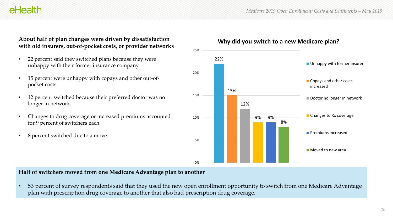#### **About half of plan changes were driven by dissatisfaction with old insurers, out-of-pocket costs, or provider networks**

- 22 percent said they switched plans because they were unhappy with their former insurance company.
- 15 percent were unhappy with copays and other out-ofpocket costs.
- 12 percent switched because their preferred doctor was no longer in network.
- Changes to drug coverage or increased premiums accounted for 9 percent of switchers each.
- 8 percent switched due to a move.



#### **Why did you switch to a new Medicare plan?**

#### **Half of switchers moved from one Medicare Advantage plan to another**

• 53 percent of survey respondents said that they used the new open enrollment opportunity to switch from one Medicare Advantage plan with prescription drug coverage to another that also had prescription drug coverage.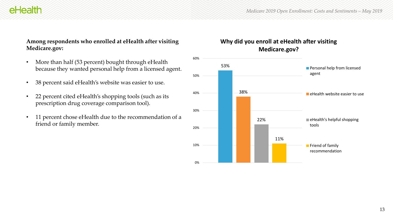**Friend of family** recommendation

#### **Among respondents who enrolled at eHealth after visiting Medicare.gov:**

- More than half (53 percent) bought through eHealth because they wanted personal help from a licensed agent.
- 38 percent said eHealth's website was easier to use.
- 22 percent cited eHealth's shopping tools (such as its prescription drug coverage comparison tool).
- 11 percent chose eHealth due to the recommendation of a friend or family member.



11%

0%

10%

20%

30%

40%

50%

60%

## **Why did you enroll at eHealth after visiting**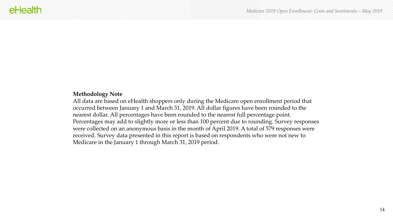#### **Methodology Note**

All data are based on eHealth shoppers only during the Medicare open enrollment period that occurred between January 1 and March 31, 2019. All dollar figures have been rounded to the nearest dollar. All percentages have been rounded to the nearest full percentage point. Percentages may add to slightly more or less than 100 percent due to rounding. Survey responses were collected on an anonymous basis in the month of April 2019. A total of 579 responses were received. Survey data presented in this report is based on respondents who were not new to Medicare in the January 1 through March 31, 2019 period.